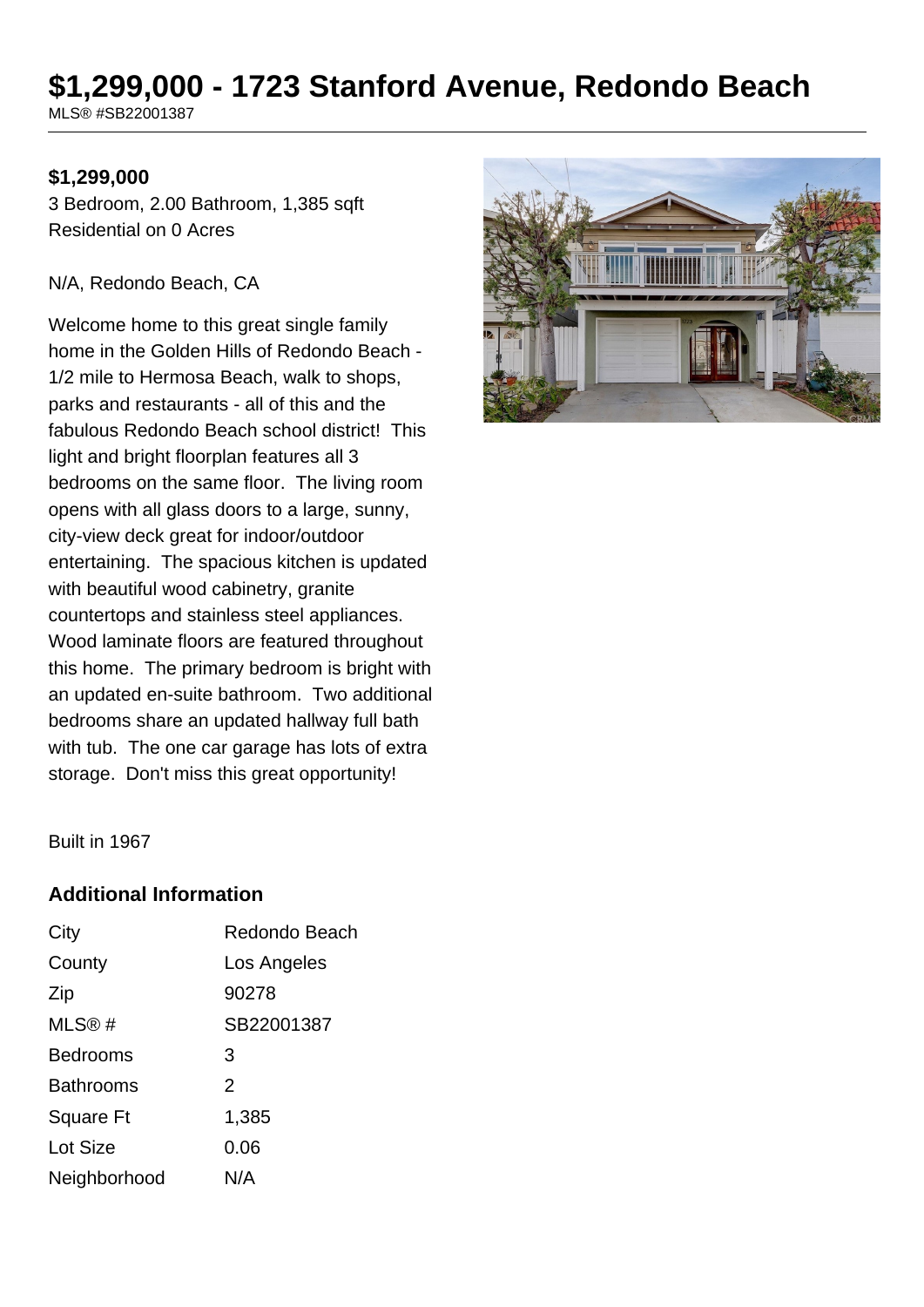# **\$1,299,000 - 1723 Stanford Avenue, Redondo Beach**

MLS® #SB22001387

## **\$1,299,000**

3 Bedroom, 2.00 Bathroom, 1,385 sqft Residential on 0 Acres

#### N/A, Redondo Beach, CA

Welcome home to this great single family home in the Golden Hills of Redondo Beach - 1/2 mile to Hermosa Beach, walk to shops, parks and restaurants - all of this and the fabulous Redondo Beach school district! This light and bright floorplan features all 3 bedrooms on the same floor. The living room opens with all glass doors to a large, sunny, city-view deck great for indoor/outdoor entertaining. The spacious kitchen is updated with beautiful wood cabinetry, granite countertops and stainless steel appliances. Wood laminate floors are featured throughout this home. The primary bedroom is bright with an updated en-suite bathroom. Two additional bedrooms share an updated hallway full bath with tub. The one car garage has lots of extra storage. Don't miss this great opportunity!



Built in 1967

## **Additional Information**

| City             | Redondo Beach  |
|------------------|----------------|
| County           | Los Angeles    |
| Zip              | 90278          |
| MLS@#            | SB22001387     |
| <b>Bedrooms</b>  | 3              |
| <b>Bathrooms</b> | $\overline{2}$ |
| Square Ft        | 1,385          |
| <b>Lot Size</b>  | 0.06           |
| Neighborhood     | N/A            |